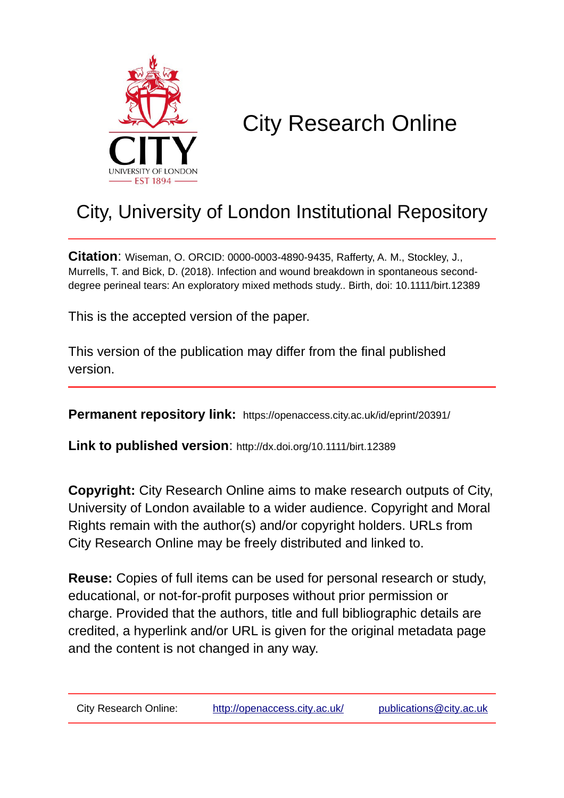

# City Research Online

# City, University of London Institutional Repository

**Citation**: Wiseman, O. ORCID: 0000-0003-4890-9435, Rafferty, A. M., Stockley, J., Murrells, T. and Bick, D. (2018). Infection and wound breakdown in spontaneous seconddegree perineal tears: An exploratory mixed methods study.. Birth, doi: 10.1111/birt.12389

This is the accepted version of the paper.

This version of the publication may differ from the final published version.

**Permanent repository link:** https://openaccess.city.ac.uk/id/eprint/20391/

**Link to published version**: http://dx.doi.org/10.1111/birt.12389

**Copyright:** City Research Online aims to make research outputs of City, University of London available to a wider audience. Copyright and Moral Rights remain with the author(s) and/or copyright holders. URLs from City Research Online may be freely distributed and linked to.

**Reuse:** Copies of full items can be used for personal research or study, educational, or not-for-profit purposes without prior permission or charge. Provided that the authors, title and full bibliographic details are credited, a hyperlink and/or URL is given for the original metadata page and the content is not changed in any way.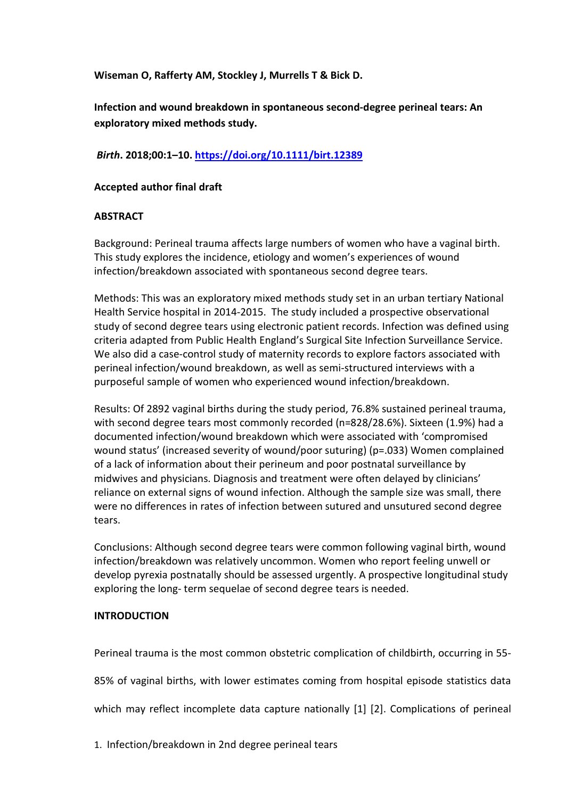**Wiseman O, Rafferty AM, Stockley J, Murrells T & Bick D.** 

**Infection and wound breakdown in spontaneous second‐degree perineal tears: An exploratory mixed methods study.**

*Birth***. 2018;00:1–10.<https://doi.org/10.1111/birt.12389>**

## **Accepted author final draft**

## **ABSTRACT**

Background: Perineal trauma affects large numbers of women who have a vaginal birth. This study explores the incidence, etiology and women's experiences of wound infection/breakdown associated with spontaneous second degree tears.

Methods: This was an exploratory mixed methods study set in an urban tertiary National Health Service hospital in 2014-2015. The study included a prospective observational study of second degree tears using electronic patient records. Infection was defined using criteria adapted from Public Health England's Surgical Site Infection Surveillance Service. We also did a case-control study of maternity records to explore factors associated with perineal infection/wound breakdown, as well as semi-structured interviews with a purposeful sample of women who experienced wound infection/breakdown.

Results: Of 2892 vaginal births during the study period, 76.8% sustained perineal trauma, with second degree tears most commonly recorded (n=828/28.6%). Sixteen (1.9%) had a documented infection/wound breakdown which were associated with 'compromised wound status' (increased severity of wound/poor suturing) (p=.033) Women complained of a lack of information about their perineum and poor postnatal surveillance by midwives and physicians. Diagnosis and treatment were often delayed by clinicians' reliance on external signs of wound infection. Although the sample size was small, there were no differences in rates of infection between sutured and unsutured second degree tears.

Conclusions: Although second degree tears were common following vaginal birth, wound infection/breakdown was relatively uncommon. Women who report feeling unwell or develop pyrexia postnatally should be assessed urgently. A prospective longitudinal study exploring the long- term sequelae of second degree tears is needed.

## **INTRODUCTION**

Perineal trauma is the most common obstetric complication of childbirth, occurring in 55-

85% of vaginal births, with lower estimates coming from hospital episode statistics data

which may reflect incomplete data capture nationally [1] [2]. Complications of perineal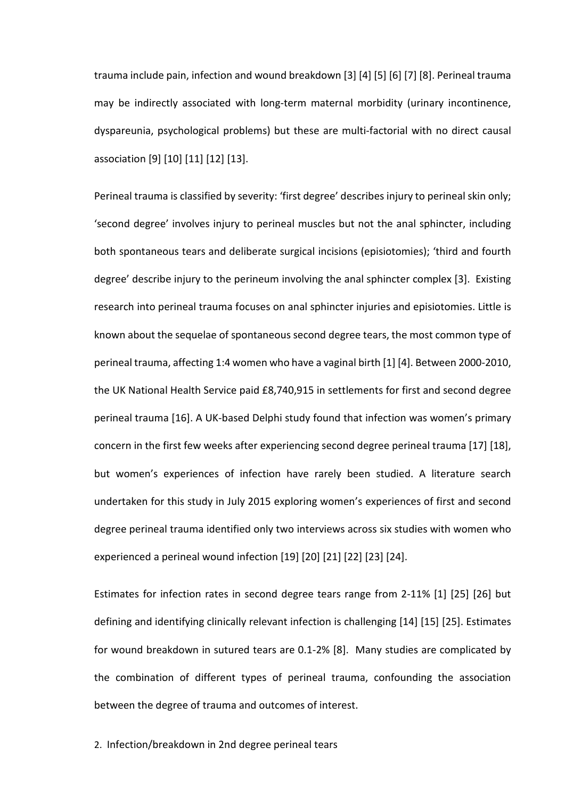trauma include pain, infection and wound breakdown [3] [4] [5] [6] [7] [8]. Perineal trauma may be indirectly associated with long-term maternal morbidity (urinary incontinence, dyspareunia, psychological problems) but these are multi-factorial with no direct causal association [9] [10] [11] [12] [13].

Perineal trauma is classified by severity: 'first degree' describes injury to perineal skin only; 'second degree' involves injury to perineal muscles but not the anal sphincter, including both spontaneous tears and deliberate surgical incisions (episiotomies); 'third and fourth degree' describe injury to the perineum involving the anal sphincter complex [3]. Existing research into perineal trauma focuses on anal sphincter injuries and episiotomies. Little is known about the sequelae of spontaneous second degree tears, the most common type of perineal trauma, affecting 1:4 women who have a vaginal birth [1] [4]. Between 2000-2010, the UK National Health Service paid £8,740,915 in settlements for first and second degree perineal trauma [16]. A UK-based Delphi study found that infection was women's primary concern in the first few weeks after experiencing second degree perineal trauma [17] [18], but women's experiences of infection have rarely been studied. A literature search undertaken for this study in July 2015 exploring women's experiences of first and second degree perineal trauma identified only two interviews across six studies with women who experienced a perineal wound infection [19] [20] [21] [22] [23] [24].

Estimates for infection rates in second degree tears range from 2-11% [1] [25] [26] but defining and identifying clinically relevant infection is challenging [14] [15] [25]. Estimates for wound breakdown in sutured tears are 0.1-2% [8]. Many studies are complicated by the combination of different types of perineal trauma, confounding the association between the degree of trauma and outcomes of interest.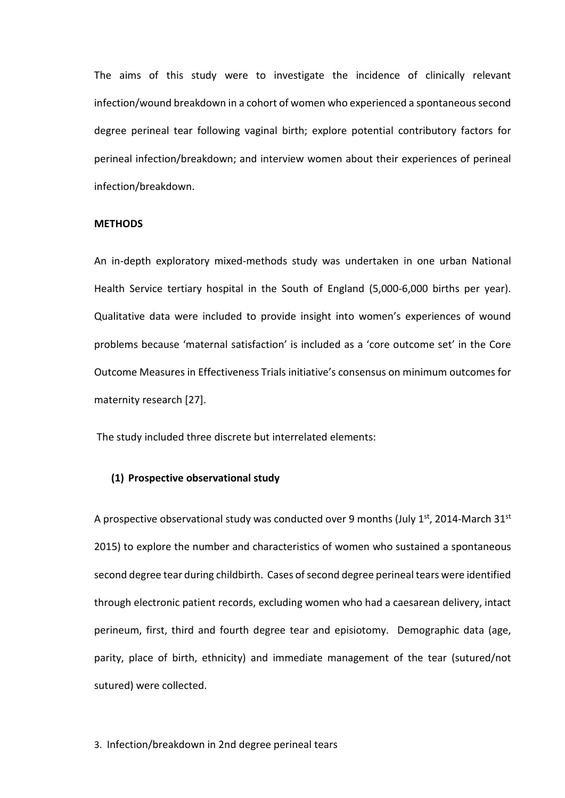The aims of this study were to investigate the incidence of clinically relevant infection/wound breakdown in a cohort of women who experienced a spontaneous second degree perineal tear following vaginal birth; explore potential contributory factors for perineal infection/breakdown; and interview women about their experiences of perineal infection/breakdown.

#### **METHODS**

An in-depth exploratory mixed-methods study was undertaken in one urban National Health Service tertiary hospital in the South of England (5,000-6,000 births per year). Qualitative data were included to provide insight into women's experiences of wound problems because 'maternal satisfaction' is included as a 'core outcome set' in the Core Outcome Measures in Effectiveness Trials initiative's consensus on minimum outcomes for maternity research [27].

The study included three discrete but interrelated elements:

#### **(1) Prospective observational study**

A prospective observational study was conducted over 9 months (July  $1<sup>st</sup>$ , 2014-March 31 $<sup>st</sup>$ </sup> 2015) to explore the number and characteristics of women who sustained a spontaneous second degree tear during childbirth. Cases of second degree perineal tears were identified through electronic patient records, excluding women who had a caesarean delivery, intact perineum, first, third and fourth degree tear and episiotomy. Demographic data (age, parity, place of birth, ethnicity) and immediate management of the tear (sutured/not sutured) were collected.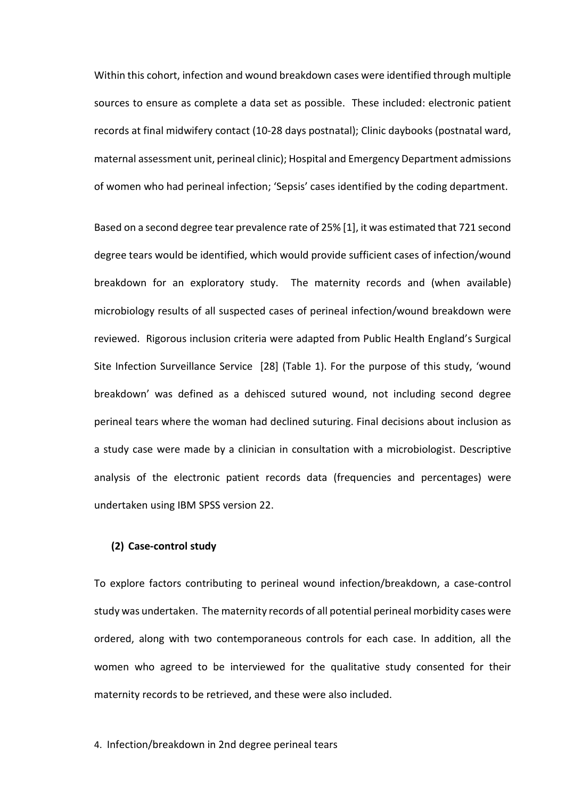Within this cohort, infection and wound breakdown cases were identified through multiple sources to ensure as complete a data set as possible. These included: electronic patient records at final midwifery contact (10-28 days postnatal); Clinic daybooks (postnatal ward, maternal assessment unit, perineal clinic); Hospital and Emergency Department admissions of women who had perineal infection; 'Sepsis' cases identified by the coding department.

Based on a second degree tear prevalence rate of 25% [1], it was estimated that 721 second degree tears would be identified, which would provide sufficient cases of infection/wound breakdown for an exploratory study. The maternity records and (when available) microbiology results of all suspected cases of perineal infection/wound breakdown were reviewed. Rigorous inclusion criteria were adapted from Public Health England's Surgical Site Infection Surveillance Service [28] (Table 1). For the purpose of this study, 'wound breakdown' was defined as a dehisced sutured wound, not including second degree perineal tears where the woman had declined suturing. Final decisions about inclusion as a study case were made by a clinician in consultation with a microbiologist. Descriptive analysis of the electronic patient records data (frequencies and percentages) were undertaken using IBM SPSS version 22.

### **(2) Case-control study**

To explore factors contributing to perineal wound infection/breakdown, a case-control study was undertaken. The maternity records of all potential perineal morbidity cases were ordered, along with two contemporaneous controls for each case. In addition, all the women who agreed to be interviewed for the qualitative study consented for their maternity records to be retrieved, and these were also included.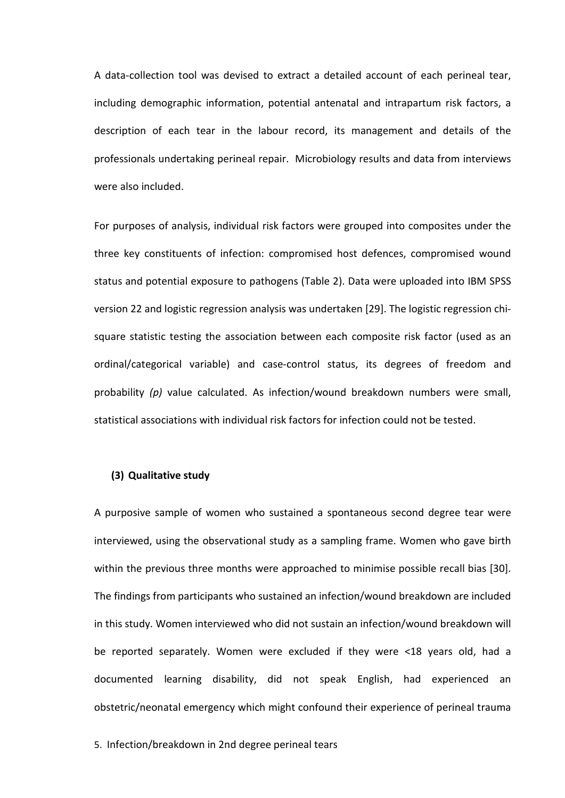A data-collection tool was devised to extract a detailed account of each perineal tear, including demographic information, potential antenatal and intrapartum risk factors, a description of each tear in the labour record, its management and details of the professionals undertaking perineal repair. Microbiology results and data from interviews were also included.

For purposes of analysis, individual risk factors were grouped into composites under the three key constituents of infection: compromised host defences, compromised wound status and potential exposure to pathogens (Table 2). Data were uploaded into IBM SPSS version 22 and logistic regression analysis was undertaken [29]. The logistic regression chisquare statistic testing the association between each composite risk factor (used as an ordinal/categorical variable) and case-control status, its degrees of freedom and probability *(p)* value calculated. As infection/wound breakdown numbers were small, statistical associations with individual risk factors for infection could not be tested.

#### **(3) Qualitative study**

A purposive sample of women who sustained a spontaneous second degree tear were interviewed, using the observational study as a sampling frame. Women who gave birth within the previous three months were approached to minimise possible recall bias [30]. The findings from participants who sustained an infection/wound breakdown are included in this study. Women interviewed who did not sustain an infection/wound breakdown will be reported separately. Women were excluded if they were <18 years old, had a documented learning disability, did not speak English, had experienced an obstetric/neonatal emergency which might confound their experience of perineal trauma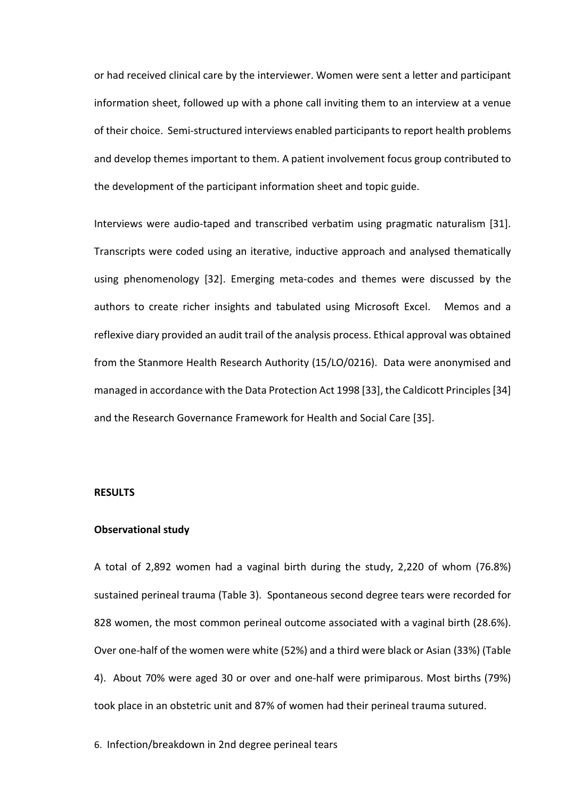or had received clinical care by the interviewer. Women were sent a letter and participant information sheet, followed up with a phone call inviting them to an interview at a venue of their choice. Semi-structured interviews enabled participants to report health problems and develop themes important to them. A patient involvement focus group contributed to the development of the participant information sheet and topic guide.

Interviews were audio-taped and transcribed verbatim using pragmatic naturalism [31]. Transcripts were coded using an iterative, inductive approach and analysed thematically using phenomenology [32]. Emerging meta-codes and themes were discussed by the authors to create richer insights and tabulated using Microsoft Excel. Memos and a reflexive diary provided an audit trail of the analysis process. Ethical approval was obtained from the Stanmore Health Research Authority (15/LO/0216). Data were anonymised and managed in accordance with the Data Protection Act 1998 [33], the Caldicott Principles[34] and the Research Governance Framework for Health and Social Care [35].

#### **RESULTS**

#### **Observational study**

A total of 2,892 women had a vaginal birth during the study, 2,220 of whom (76.8%) sustained perineal trauma (Table 3). Spontaneous second degree tears were recorded for 828 women, the most common perineal outcome associated with a vaginal birth (28.6%). Over one-half of the women were white (52%) and a third were black or Asian (33%) (Table 4). About 70% were aged 30 or over and one-half were primiparous. Most births (79%) took place in an obstetric unit and 87% of women had their perineal trauma sutured.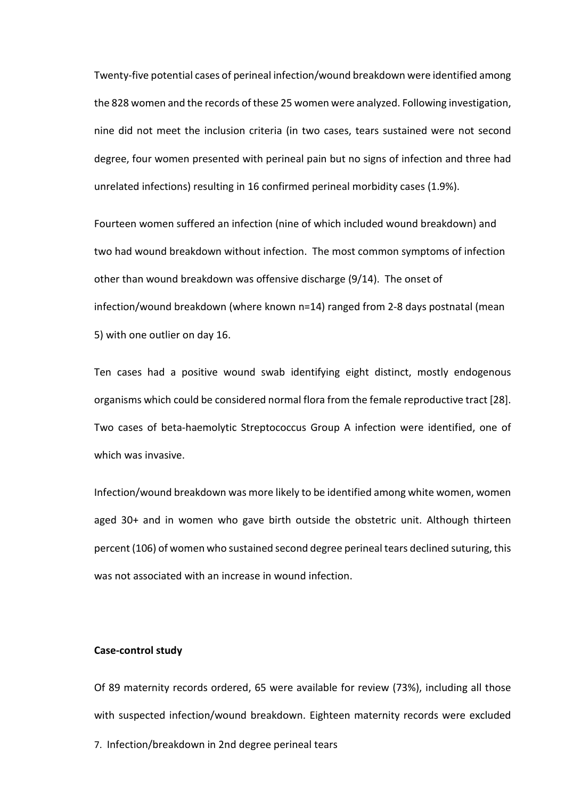Twenty-five potential cases of perineal infection/wound breakdown were identified among the 828 women and the records of these 25 women were analyzed. Following investigation, nine did not meet the inclusion criteria (in two cases, tears sustained were not second degree, four women presented with perineal pain but no signs of infection and three had unrelated infections) resulting in 16 confirmed perineal morbidity cases (1.9%).

Fourteen women suffered an infection (nine of which included wound breakdown) and two had wound breakdown without infection. The most common symptoms of infection other than wound breakdown was offensive discharge (9/14). The onset of infection/wound breakdown (where known n=14) ranged from 2-8 days postnatal (mean 5) with one outlier on day 16.

Ten cases had a positive wound swab identifying eight distinct, mostly endogenous organisms which could be considered normal flora from the female reproductive tract [28]. Two cases of beta-haemolytic Streptococcus Group A infection were identified, one of which was invasive.

Infection/wound breakdown was more likely to be identified among white women, women aged 30+ and in women who gave birth outside the obstetric unit. Although thirteen percent (106) of women who sustained second degree perineal tears declined suturing, this was not associated with an increase in wound infection.

#### **Case-control study**

7. Infection/breakdown in 2nd degree perineal tears Of 89 maternity records ordered, 65 were available for review (73%), including all those with suspected infection/wound breakdown. Eighteen maternity records were excluded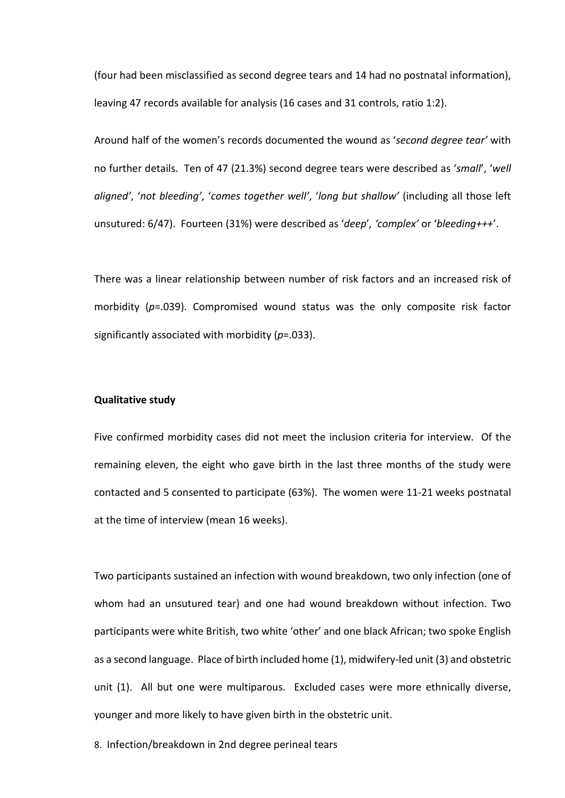(four had been misclassified as second degree tears and 14 had no postnatal information), leaving 47 records available for analysis (16 cases and 31 controls, ratio 1:2).

Around half of the women's records documented the wound as '*second degree tear'* with no further details. Ten of 47 (21.3%) second degree tears were described as '*small*', '*well aligned'*, '*not bleeding'*, '*comes together well'*, '*long but shallow'* (including all those left unsutured: 6/47). Fourteen (31%) were described as '*deep*'*, 'complex'* or '*bleeding+++*'.

There was a linear relationship between number of risk factors and an increased risk of morbidity (*p*=.039). Compromised wound status was the only composite risk factor significantly associated with morbidity (*p*=.033).

#### **Qualitative study**

Five confirmed morbidity cases did not meet the inclusion criteria for interview. Of the remaining eleven, the eight who gave birth in the last three months of the study were contacted and 5 consented to participate (63%). The women were 11-21 weeks postnatal at the time of interview (mean 16 weeks).

Two participants sustained an infection with wound breakdown, two only infection (one of whom had an unsutured tear) and one had wound breakdown without infection. Two participants were white British, two white 'other' and one black African; two spoke English as a second language. Place of birth included home (1), midwifery-led unit (3) and obstetric unit (1). All but one were multiparous. Excluded cases were more ethnically diverse, younger and more likely to have given birth in the obstetric unit.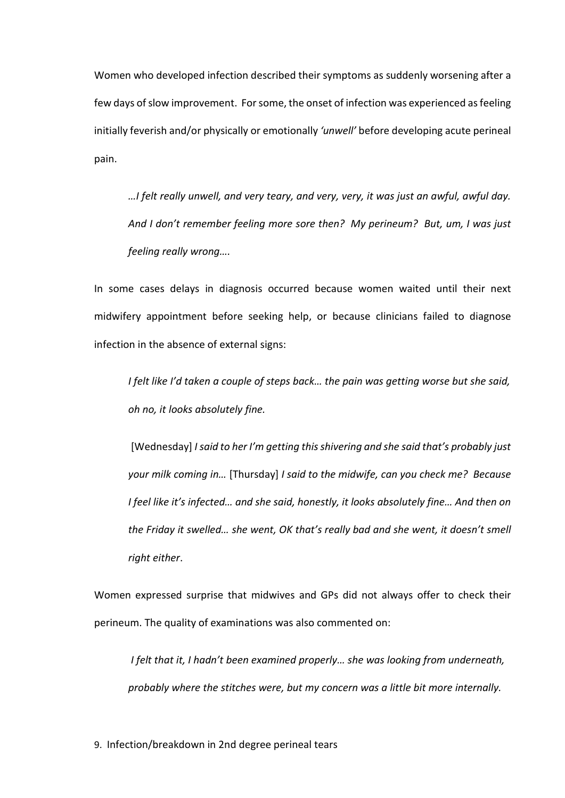Women who developed infection described their symptoms as suddenly worsening after a few days of slow improvement. For some, the onset of infection was experienced as feeling initially feverish and/or physically or emotionally *'unwell'* before developing acute perineal pain.

*…I felt really unwell, and very teary, and very, very, it was just an awful, awful day. And I don't remember feeling more sore then? My perineum? But, um, I was just feeling really wrong….* 

In some cases delays in diagnosis occurred because women waited until their next midwifery appointment before seeking help, or because clinicians failed to diagnose infection in the absence of external signs:

*I felt like I'd taken a couple of steps back… the pain was getting worse but she said, oh no, it looks absolutely fine.* 

[Wednesday] *I said to her I'm getting this shivering and she said that's probably just your milk coming in…* [Thursday] *I said to the midwife, can you check me? Because I feel like it's infected… and she said, honestly, it looks absolutely fine… And then on the Friday it swelled… she went, OK that's really bad and she went, it doesn't smell right either*.

Women expressed surprise that midwives and GPs did not always offer to check their perineum. The quality of examinations was also commented on:

*I felt that it, I hadn't been examined properly… she was looking from underneath, probably where the stitches were, but my concern was a little bit more internally.*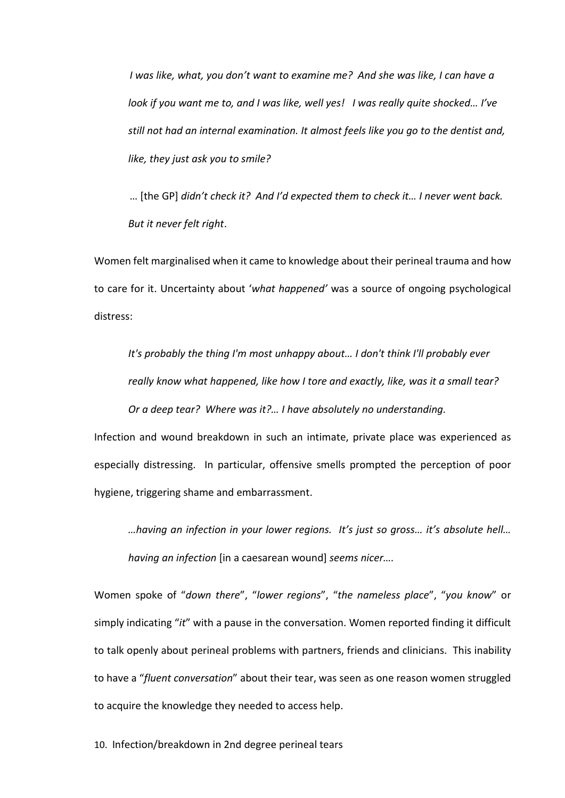*I* was like, what, you don't want to examine me? And she was like, I can have a *look if you want me to, and I was like, well yes! I was really quite shocked… I've still not had an internal examination. It almost feels like you go to the dentist and, like, they just ask you to smile?*

… [the GP] *didn't check it? And I'd expected them to check it… I never went back. But it never felt right*.

Women felt marginalised when it came to knowledge about their perineal trauma and how to care for it. Uncertainty about '*what happened'* was a source of ongoing psychological distress:

*It's probably the thing I'm most unhappy about… I don't think I'll probably ever really know what happened, like how I tore and exactly, like, was it a small tear? Or a deep tear? Where was it?… I have absolutely no understanding.* 

Infection and wound breakdown in such an intimate, private place was experienced as especially distressing. In particular, offensive smells prompted the perception of poor hygiene, triggering shame and embarrassment.

*…having an infection in your lower regions. It's just so gross… it's absolute hell… having an infection* [in a caesarean wound] *seems nicer….* 

Women spoke of "*down there*", "*lower regions*", "*the nameless place*", "*you know*" or simply indicating "*it*" with a pause in the conversation. Women reported finding it difficult to talk openly about perineal problems with partners, friends and clinicians. This inability to have a "*fluent conversation*" about their tear, was seen as one reason women struggled to acquire the knowledge they needed to access help.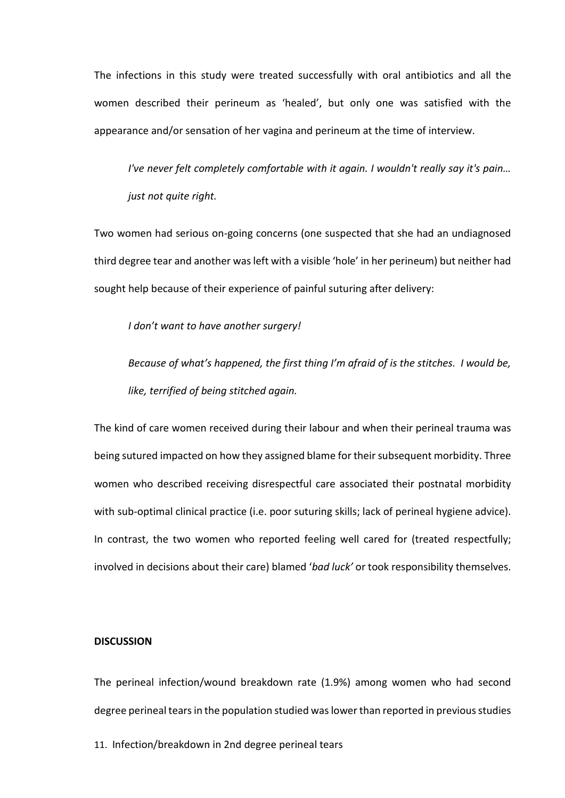The infections in this study were treated successfully with oral antibiotics and all the women described their perineum as 'healed', but only one was satisfied with the appearance and/or sensation of her vagina and perineum at the time of interview.

*I've never felt completely comfortable with it again. I wouldn't really say it's pain… just not quite right.*

Two women had serious on-going concerns (one suspected that she had an undiagnosed third degree tear and another was left with a visible 'hole' in her perineum) but neither had sought help because of their experience of painful suturing after delivery:

*I don't want to have another surgery!* 

*Because of what's happened, the first thing I'm afraid of is the stitches. I would be, like, terrified of being stitched again.*

The kind of care women received during their labour and when their perineal trauma was being sutured impacted on how they assigned blame for their subsequent morbidity. Three women who described receiving disrespectful care associated their postnatal morbidity with sub-optimal clinical practice (i.e. poor suturing skills; lack of perineal hygiene advice). In contrast, the two women who reported feeling well cared for (treated respectfully; involved in decisions about their care) blamed '*bad luck'* or took responsibility themselves.

#### **DISCUSSION**

The perineal infection/wound breakdown rate (1.9%) among women who had second degree perineal tears in the population studied was lower than reported in previous studies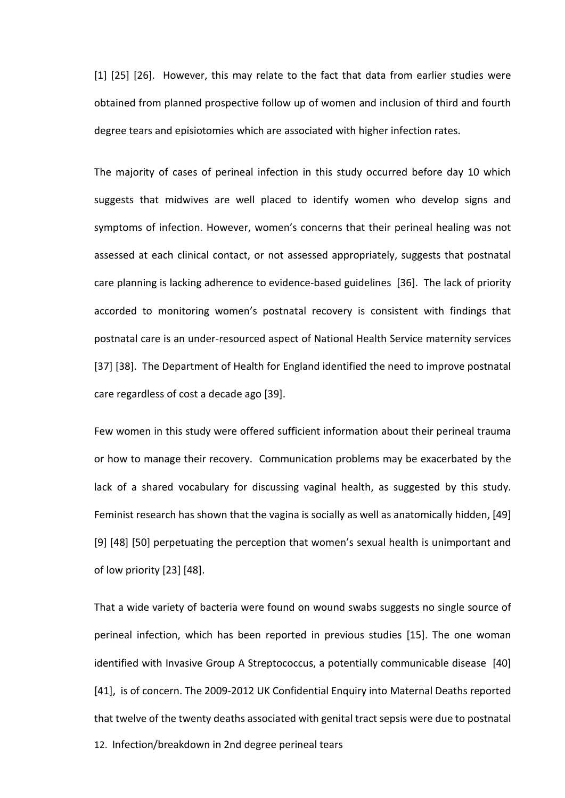[1] [25] [26]. However, this may relate to the fact that data from earlier studies were obtained from planned prospective follow up of women and inclusion of third and fourth degree tears and episiotomies which are associated with higher infection rates.

The majority of cases of perineal infection in this study occurred before day 10 which suggests that midwives are well placed to identify women who develop signs and symptoms of infection. However, women's concerns that their perineal healing was not assessed at each clinical contact, or not assessed appropriately, suggests that postnatal care planning is lacking adherence to evidence-based guidelines [36]. The lack of priority accorded to monitoring women's postnatal recovery is consistent with findings that postnatal care is an under-resourced aspect of National Health Service maternity services [37] [38]. The Department of Health for England identified the need to improve postnatal care regardless of cost a decade ago [39].

Few women in this study were offered sufficient information about their perineal trauma or how to manage their recovery. Communication problems may be exacerbated by the lack of a shared vocabulary for discussing vaginal health, as suggested by this study. Feminist research has shown that the vagina is socially as well as anatomically hidden, [49] [9] [48] [50] perpetuating the perception that women's sexual health is unimportant and of low priority [23] [48].

12. Infection/breakdown in 2nd degree perineal tears That a wide variety of bacteria were found on wound swabs suggests no single source of perineal infection, which has been reported in previous studies [15]. The one woman identified with Invasive Group A Streptococcus, a potentially communicable disease [40] [41], is of concern. The 2009-2012 UK Confidential Enquiry into Maternal Deaths reported that twelve of the twenty deaths associated with genital tract sepsis were due to postnatal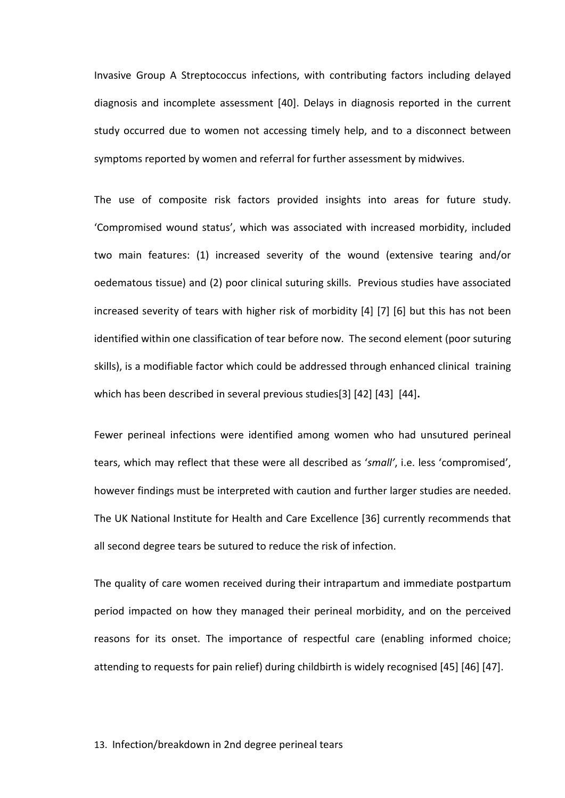Invasive Group A Streptococcus infections, with contributing factors including delayed diagnosis and incomplete assessment [40]. Delays in diagnosis reported in the current study occurred due to women not accessing timely help, and to a disconnect between symptoms reported by women and referral for further assessment by midwives.

The use of composite risk factors provided insights into areas for future study. 'Compromised wound status', which was associated with increased morbidity, included two main features: (1) increased severity of the wound (extensive tearing and/or oedematous tissue) and (2) poor clinical suturing skills. Previous studies have associated increased severity of tears with higher risk of morbidity [4] [7] [6] but this has not been identified within one classification of tear before now. The second element (poor suturing skills), is a modifiable factor which could be addressed through enhanced clinical training which has been described in several previous studies[3] [42] [43] [44]**.**

Fewer perineal infections were identified among women who had unsutured perineal tears, which may reflect that these were all described as '*small'*, i.e. less 'compromised', however findings must be interpreted with caution and further larger studies are needed. The UK National Institute for Health and Care Excellence [36] currently recommends that all second degree tears be sutured to reduce the risk of infection.

The quality of care women received during their intrapartum and immediate postpartum period impacted on how they managed their perineal morbidity, and on the perceived reasons for its onset. The importance of respectful care (enabling informed choice; attending to requests for pain relief) during childbirth is widely recognised [45] [46] [47].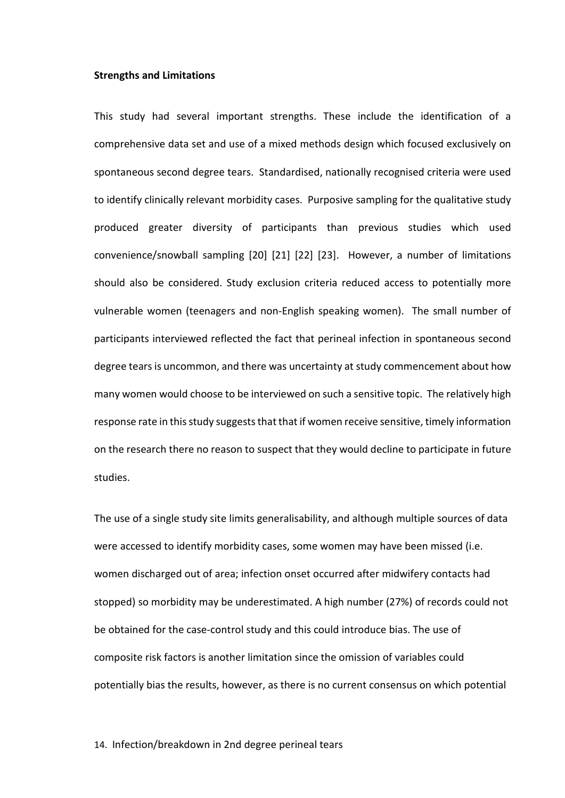#### **Strengths and Limitations**

This study had several important strengths. These include the identification of a comprehensive data set and use of a mixed methods design which focused exclusively on spontaneous second degree tears. Standardised, nationally recognised criteria were used to identify clinically relevant morbidity cases. Purposive sampling for the qualitative study produced greater diversity of participants than previous studies which used convenience/snowball sampling [20] [21] [22] [23]. However, a number of limitations should also be considered. Study exclusion criteria reduced access to potentially more vulnerable women (teenagers and non-English speaking women). The small number of participants interviewed reflected the fact that perineal infection in spontaneous second degree tears is uncommon, and there was uncertainty at study commencement about how many women would choose to be interviewed on such a sensitive topic. The relatively high response rate in this study suggests that that if women receive sensitive, timely information on the research there no reason to suspect that they would decline to participate in future studies.

The use of a single study site limits generalisability, and although multiple sources of data were accessed to identify morbidity cases, some women may have been missed (i.e. women discharged out of area; infection onset occurred after midwifery contacts had stopped) so morbidity may be underestimated. A high number (27%) of records could not be obtained for the case-control study and this could introduce bias. The use of composite risk factors is another limitation since the omission of variables could potentially bias the results, however, as there is no current consensus on which potential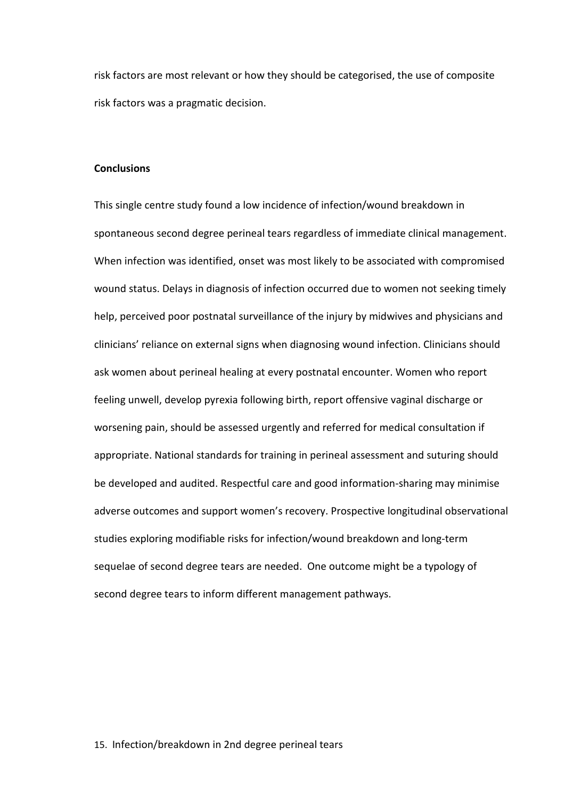risk factors are most relevant or how they should be categorised, the use of composite risk factors was a pragmatic decision.

#### **Conclusions**

This single centre study found a low incidence of infection/wound breakdown in spontaneous second degree perineal tears regardless of immediate clinical management. When infection was identified, onset was most likely to be associated with compromised wound status. Delays in diagnosis of infection occurred due to women not seeking timely help, perceived poor postnatal surveillance of the injury by midwives and physicians and clinicians' reliance on external signs when diagnosing wound infection. Clinicians should ask women about perineal healing at every postnatal encounter. Women who report feeling unwell, develop pyrexia following birth, report offensive vaginal discharge or worsening pain, should be assessed urgently and referred for medical consultation if appropriate. National standards for training in perineal assessment and suturing should be developed and audited. Respectful care and good information-sharing may minimise adverse outcomes and support women's recovery. Prospective longitudinal observational studies exploring modifiable risks for infection/wound breakdown and long-term sequelae of second degree tears are needed. One outcome might be a typology of second degree tears to inform different management pathways.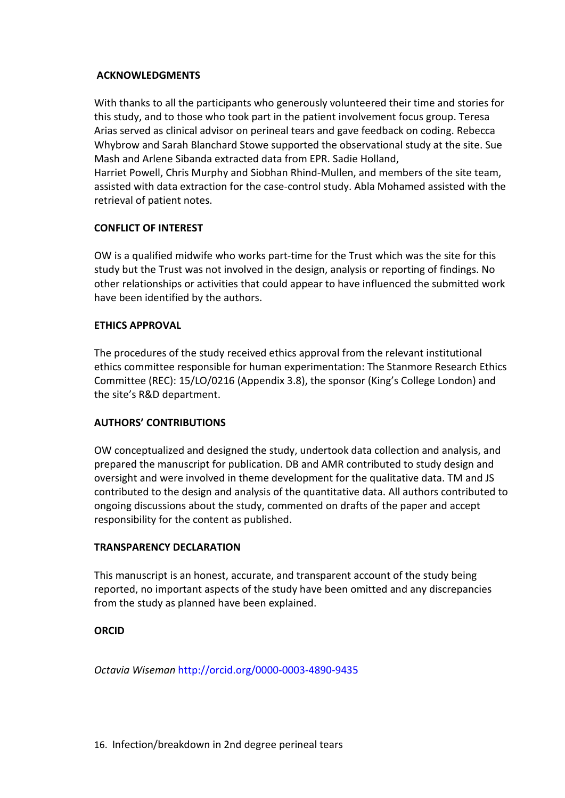## **ACKNOWLEDGMENTS**

With thanks to all the participants who generously volunteered their time and stories for this study, and to those who took part in the patient involvement focus group. Teresa Arias served as clinical advisor on perineal tears and gave feedback on coding. Rebecca Whybrow and Sarah Blanchard Stowe supported the observational study at the site. Sue Mash and Arlene Sibanda extracted data from EPR. Sadie Holland,

Harriet Powell, Chris Murphy and Siobhan Rhind-Mullen, and members of the site team, assisted with data extraction for the case-control study. Abla Mohamed assisted with the retrieval of patient notes.

## **CONFLICT OF INTEREST**

OW is a qualified midwife who works part-time for the Trust which was the site for this study but the Trust was not involved in the design, analysis or reporting of findings. No other relationships or activities that could appear to have influenced the submitted work have been identified by the authors.

## **ETHICS APPROVAL**

The procedures of the study received ethics approval from the relevant institutional ethics committee responsible for human experimentation: The Stanmore Research Ethics Committee (REC): 15/LO/0216 (Appendix 3.8), the sponsor (King's College London) and the site's R&D department.

## **AUTHORS' CONTRIBUTIONS**

OW conceptualized and designed the study, undertook data collection and analysis, and prepared the manuscript for publication. DB and AMR contributed to study design and oversight and were involved in theme development for the qualitative data. TM and JS contributed to the design and analysis of the quantitative data. All authors contributed to ongoing discussions about the study, commented on drafts of the paper and accept responsibility for the content as published.

## **TRANSPARENCY DECLARATION**

This manuscript is an honest, accurate, and transparent account of the study being reported, no important aspects of the study have been omitted and any discrepancies from the study as planned have been explained.

## **ORCID**

*Octavia Wiseman* http://orcid.org/0000-0003-4890-9435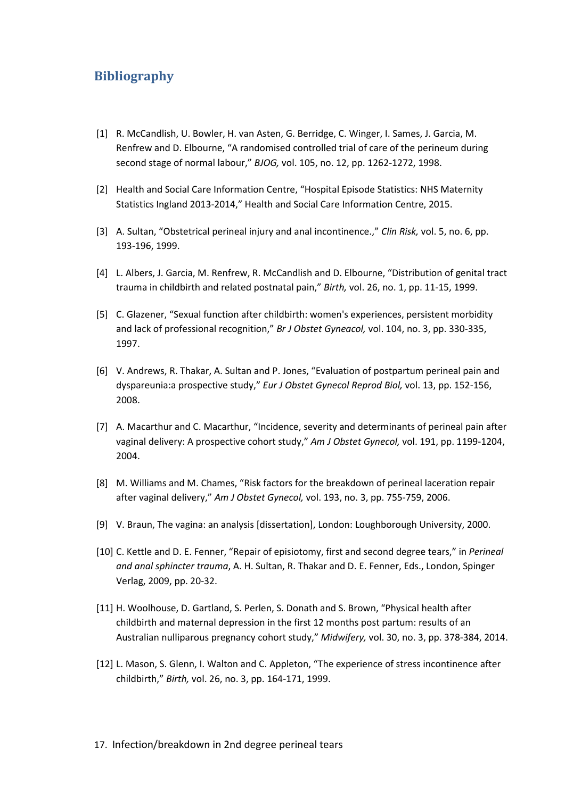## **Bibliography**

- [1] R. McCandlish, U. Bowler, H. van Asten, G. Berridge, C. Winger, I. Sames, J. Garcia, M. Renfrew and D. Elbourne, "A randomised controlled trial of care of the perineum during second stage of normal labour," *BJOG,* vol. 105, no. 12, pp. 1262-1272, 1998.
- [2] Health and Social Care Information Centre, "Hospital Episode Statistics: NHS Maternity Statistics Ingland 2013-2014," Health and Social Care Information Centre, 2015.
- [3] A. Sultan, "Obstetrical perineal injury and anal incontinence.," *Clin Risk,* vol. 5, no. 6, pp. 193-196, 1999.
- [4] L. Albers, J. Garcia, M. Renfrew, R. McCandlish and D. Elbourne, "Distribution of genital tract trauma in childbirth and related postnatal pain," *Birth,* vol. 26, no. 1, pp. 11-15, 1999.
- [5] C. Glazener, "Sexual function after childbirth: women's experiences, persistent morbidity and lack of professional recognition," *Br J Obstet Gyneacol,* vol. 104, no. 3, pp. 330-335, 1997.
- [6] V. Andrews, R. Thakar, A. Sultan and P. Jones, "Evaluation of postpartum perineal pain and dyspareunia:a prospective study," *Eur J Obstet Gynecol Reprod Biol,* vol. 13, pp. 152-156, 2008.
- [7] A. Macarthur and C. Macarthur, "Incidence, severity and determinants of perineal pain after vaginal delivery: A prospective cohort study," *Am J Obstet Gynecol,* vol. 191, pp. 1199-1204, 2004.
- [8] M. Williams and M. Chames, "Risk factors for the breakdown of perineal laceration repair after vaginal delivery," *Am J Obstet Gynecol,* vol. 193, no. 3, pp. 755-759, 2006.
- [9] V. Braun, The vagina: an analysis [dissertation], London: Loughborough University, 2000.
- [10] C. Kettle and D. E. Fenner, "Repair of episiotomy, first and second degree tears," in *Perineal and anal sphincter trauma*, A. H. Sultan, R. Thakar and D. E. Fenner, Eds., London, Spinger Verlag, 2009, pp. 20-32.
- [11] H. Woolhouse, D. Gartland, S. Perlen, S. Donath and S. Brown, "Physical health after childbirth and maternal depression in the first 12 months post partum: results of an Australian nulliparous pregnancy cohort study," *Midwifery,* vol. 30, no. 3, pp. 378-384, 2014.
- [12] L. Mason, S. Glenn, I. Walton and C. Appleton, "The experience of stress incontinence after childbirth," *Birth,* vol. 26, no. 3, pp. 164-171, 1999.
- 17. Infection/breakdown in 2nd degree perineal tears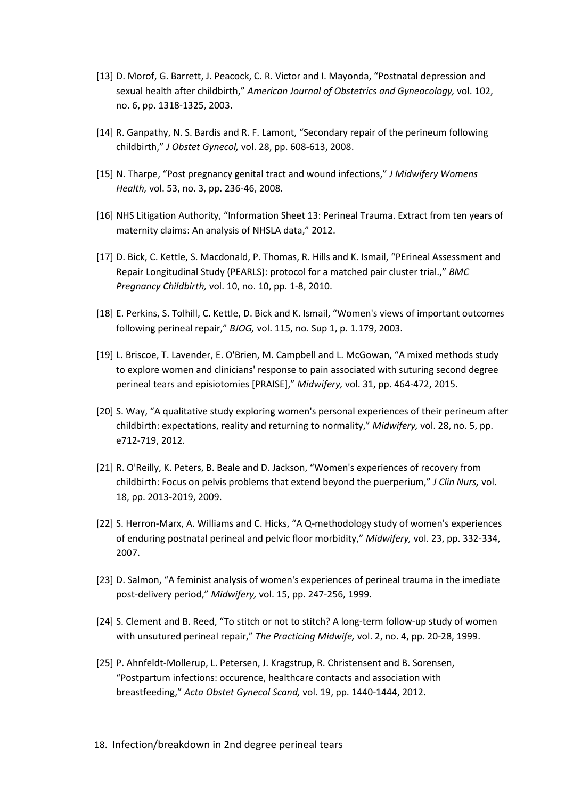- [13] D. Morof, G. Barrett, J. Peacock, C. R. Victor and I. Mayonda, "Postnatal depression and sexual health after childbirth," *American Journal of Obstetrics and Gyneacology,* vol. 102, no. 6, pp. 1318-1325, 2003.
- [14] R. Ganpathy, N. S. Bardis and R. F. Lamont, "Secondary repair of the perineum following childbirth," *J Obstet Gynecol,* vol. 28, pp. 608-613, 2008.
- [15] N. Tharpe, "Post pregnancy genital tract and wound infections," *J Midwifery Womens Health,* vol. 53, no. 3, pp. 236-46, 2008.
- [16] NHS Litigation Authority, "Information Sheet 13: Perineal Trauma. Extract from ten years of maternity claims: An analysis of NHSLA data," 2012.
- [17] D. Bick, C. Kettle, S. Macdonald, P. Thomas, R. Hills and K. Ismail, "PErineal Assessment and Repair Longitudinal Study (PEARLS): protocol for a matched pair cluster trial.," *BMC Pregnancy Childbirth,* vol. 10, no. 10, pp. 1-8, 2010.
- [18] E. Perkins, S. Tolhill, C. Kettle, D. Bick and K. Ismail, "Women's views of important outcomes following perineal repair," *BJOG,* vol. 115, no. Sup 1, p. 1.179, 2003.
- [19] L. Briscoe, T. Lavender, E. O'Brien, M. Campbell and L. McGowan, "A mixed methods study to explore women and clinicians' response to pain associated with suturing second degree perineal tears and episiotomies [PRAISE]," *Midwifery,* vol. 31, pp. 464-472, 2015.
- [20] S. Way, "A qualitative study exploring women's personal experiences of their perineum after childbirth: expectations, reality and returning to normality," *Midwifery,* vol. 28, no. 5, pp. e712-719, 2012.
- [21] R. O'Reilly, K. Peters, B. Beale and D. Jackson, "Women's experiences of recovery from childbirth: Focus on pelvis problems that extend beyond the puerperium," *J Clin Nurs,* vol. 18, pp. 2013-2019, 2009.
- [22] S. Herron-Marx, A. Williams and C. Hicks, "A Q-methodology study of women's experiences of enduring postnatal perineal and pelvic floor morbidity," *Midwifery,* vol. 23, pp. 332-334, 2007.
- [23] D. Salmon, "A feminist analysis of women's experiences of perineal trauma in the imediate post-delivery period," *Midwifery,* vol. 15, pp. 247-256, 1999.
- [24] S. Clement and B. Reed, "To stitch or not to stitch? A long-term follow-up study of women with unsutured perineal repair," *The Practicing Midwife,* vol. 2, no. 4, pp. 20-28, 1999.
- [25] P. Ahnfeldt-Mollerup, L. Petersen, J. Kragstrup, R. Christensent and B. Sorensen, "Postpartum infections: occurence, healthcare contacts and association with breastfeeding," *Acta Obstet Gynecol Scand,* vol. 19, pp. 1440-1444, 2012.
- 18. Infection/breakdown in 2nd degree perineal tears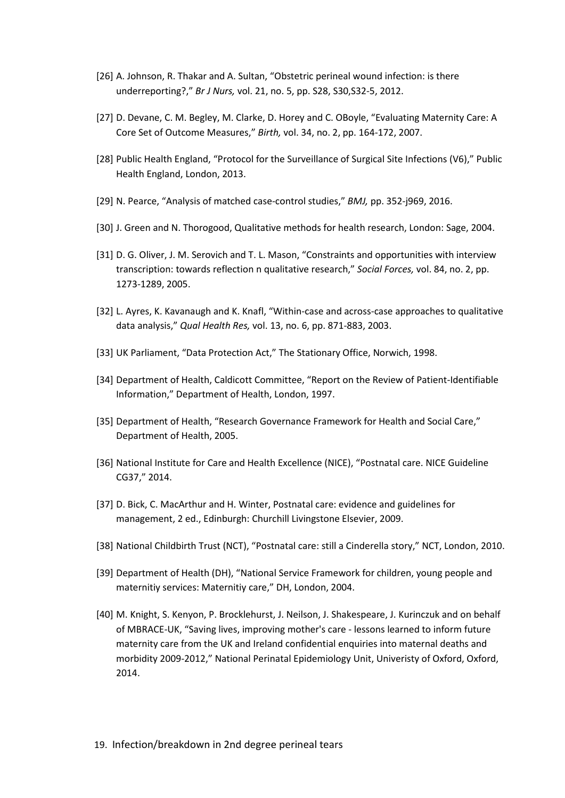- [26] A. Johnson, R. Thakar and A. Sultan, "Obstetric perineal wound infection: is there underreporting?," *Br J Nurs,* vol. 21, no. 5, pp. S28, S30,S32-5, 2012.
- [27] D. Devane, C. M. Begley, M. Clarke, D. Horey and C. OBoyle, "Evaluating Maternity Care: A Core Set of Outcome Measures," *Birth,* vol. 34, no. 2, pp. 164-172, 2007.
- [28] Public Health England, "Protocol for the Surveillance of Surgical Site Infections (V6)," Public Health England, London, 2013.
- [29] N. Pearce, "Analysis of matched case-control studies," *BMJ,* pp. 352-j969, 2016.
- [30] J. Green and N. Thorogood, Qualitative methods for health research, London: Sage, 2004.
- [31] D. G. Oliver, J. M. Serovich and T. L. Mason, "Constraints and opportunities with interview transcription: towards reflection n qualitative research," *Social Forces,* vol. 84, no. 2, pp. 1273-1289, 2005.
- [32] L. Ayres, K. Kavanaugh and K. Knafl, "Within-case and across-case approaches to qualitative data analysis," *Qual Health Res,* vol. 13, no. 6, pp. 871-883, 2003.
- [33] UK Parliament, "Data Protection Act," The Stationary Office, Norwich, 1998.
- [34] Department of Health, Caldicott Committee, "Report on the Review of Patient-Identifiable Information," Department of Health, London, 1997.
- [35] Department of Health, "Research Governance Framework for Health and Social Care," Department of Health, 2005.
- [36] National Institute for Care and Health Excellence (NICE), "Postnatal care. NICE Guideline CG37," 2014.
- [37] D. Bick, C. MacArthur and H. Winter, Postnatal care: evidence and guidelines for management, 2 ed., Edinburgh: Churchill Livingstone Elsevier, 2009.
- [38] National Childbirth Trust (NCT), "Postnatal care: still a Cinderella story," NCT, London, 2010.
- [39] Department of Health (DH), "National Service Framework for children, young people and maternitiy services: Maternitiy care," DH, London, 2004.
- [40] M. Knight, S. Kenyon, P. Brocklehurst, J. Neilson, J. Shakespeare, J. Kurinczuk and on behalf of MBRACE-UK, "Saving lives, improving mother's care - lessons learned to inform future maternity care from the UK and Ireland confidential enquiries into maternal deaths and morbidity 2009-2012," National Perinatal Epidemiology Unit, Univeristy of Oxford, Oxford, 2014.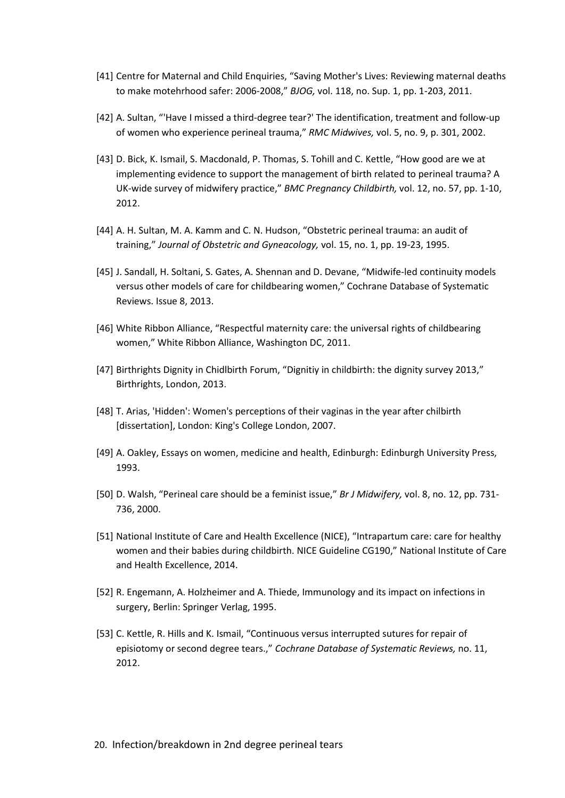- [41] Centre for Maternal and Child Enquiries, "Saving Mother's Lives: Reviewing maternal deaths to make motehrhood safer: 2006-2008," *BJOG,* vol. 118, no. Sup. 1, pp. 1-203, 2011.
- [42] A. Sultan, "'Have I missed a third-degree tear?' The identification, treatment and follow-up of women who experience perineal trauma," *RMC Midwives,* vol. 5, no. 9, p. 301, 2002.
- [43] D. Bick, K. Ismail, S. Macdonald, P. Thomas, S. Tohill and C. Kettle, "How good are we at implementing evidence to support the management of birth related to perineal trauma? A UK-wide survey of midwifery practice," *BMC Pregnancy Childbirth,* vol. 12, no. 57, pp. 1-10, 2012.
- [44] A. H. Sultan, M. A. Kamm and C. N. Hudson, "Obstetric perineal trauma: an audit of training," *Journal of Obstetric and Gyneacology,* vol. 15, no. 1, pp. 19-23, 1995.
- [45] J. Sandall, H. Soltani, S. Gates, A. Shennan and D. Devane, "Midwife-led continuity models versus other models of care for childbearing women," Cochrane Database of Systematic Reviews. Issue 8, 2013.
- [46] White Ribbon Alliance, "Respectful maternity care: the universal rights of childbearing women," White Ribbon Alliance, Washington DC, 2011.
- [47] Birthrights Dignity in Chidlbirth Forum, "Dignitiy in childbirth: the dignity survey 2013," Birthrights, London, 2013.
- [48] T. Arias, 'Hidden': Women's perceptions of their vaginas in the year after chilbirth [dissertation], London: King's College London, 2007.
- [49] A. Oakley, Essays on women, medicine and health, Edinburgh: Edinburgh University Press, 1993.
- [50] D. Walsh, "Perineal care should be a feminist issue," *Br J Midwifery,* vol. 8, no. 12, pp. 731- 736, 2000.
- [51] National Institute of Care and Health Excellence (NICE), "Intrapartum care: care for healthy women and their babies during childbirth. NICE Guideline CG190," National Institute of Care and Health Excellence, 2014.
- [52] R. Engemann, A. Holzheimer and A. Thiede, Immunology and its impact on infections in surgery, Berlin: Springer Verlag, 1995.
- [53] C. Kettle, R. Hills and K. Ismail, "Continuous versus interrupted sutures for repair of episiotomy or second degree tears.," *Cochrane Database of Systematic Reviews,* no. 11, 2012.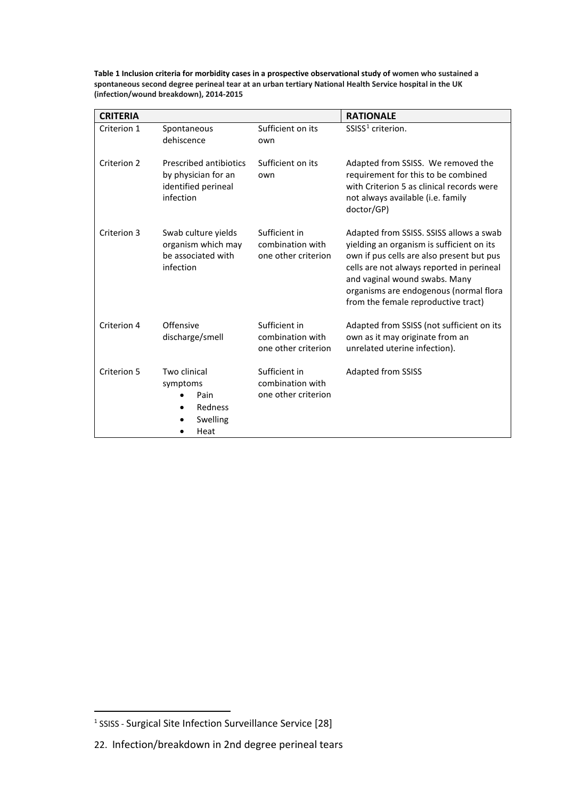**Table 1 Inclusion criteria for morbidity cases in a prospective observational study of women who sustained a spontaneous second degree perineal tear at an urban tertiary National Health Service hospital in the UK (infection/wound breakdown), 2014‐2015**

| <b>CRITERIA</b> |                                                                                          |                                                          | <b>RATIONALE</b>                                                                                                                                                                                                                                                                                 |
|-----------------|------------------------------------------------------------------------------------------|----------------------------------------------------------|--------------------------------------------------------------------------------------------------------------------------------------------------------------------------------------------------------------------------------------------------------------------------------------------------|
| Criterion 1     | Spontaneous<br>dehiscence                                                                | Sufficient on its<br>own                                 | SSISS <sup>1</sup> criterion.                                                                                                                                                                                                                                                                    |
| Criterion 2     | <b>Prescribed antibiotics</b><br>by physician for an<br>identified perineal<br>infection | Sufficient on its<br>own                                 | Adapted from SSISS. We removed the<br>requirement for this to be combined<br>with Criterion 5 as clinical records were<br>not always available (i.e. family<br>doctor/GP)                                                                                                                        |
| Criterion 3     | Swab culture yields<br>organism which may<br>be associated with<br>infection             | Sufficient in<br>combination with<br>one other criterion | Adapted from SSISS. SSISS allows a swab<br>yielding an organism is sufficient on its<br>own if pus cells are also present but pus<br>cells are not always reported in perineal<br>and vaginal wound swabs. Many<br>organisms are endogenous (normal flora<br>from the female reproductive tract) |
| Criterion 4     | Offensive<br>discharge/smell                                                             | Sufficient in<br>combination with<br>one other criterion | Adapted from SSISS (not sufficient on its<br>own as it may originate from an<br>unrelated uterine infection).                                                                                                                                                                                    |
| Criterion 5     | Two clinical<br>symptoms<br>Pain<br>Redness<br>Swelling<br>Heat                          | Sufficient in<br>combination with<br>one other criterion | <b>Adapted from SSISS</b>                                                                                                                                                                                                                                                                        |

 $\overline{a}$ 

<span id="page-22-0"></span><sup>1</sup> SSISS - Surgical Site Infection Surveillance Service [28]

<sup>22.</sup> Infection/breakdown in 2nd degree perineal tears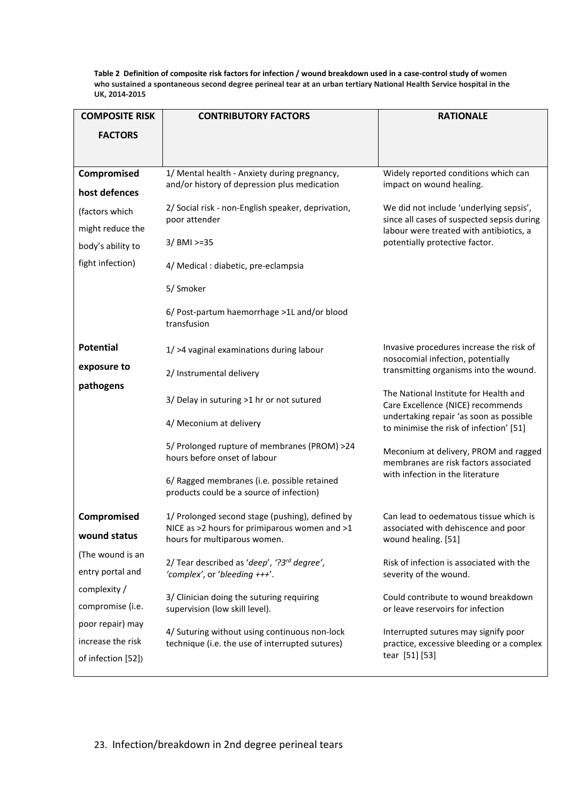**Table 2 Definition of composite risk factors for infection / wound breakdown used in a case-control study of women who sustained a spontaneous second degree perineal tear at an urban tertiary National Health Service hospital in the UK, 2014‐2015**

| <b>COMPOSITE RISK</b>                   | <b>CONTRIBUTORY FACTORS</b>                                                             | <b>RATIONALE</b>                                                                                                                 |  |
|-----------------------------------------|-----------------------------------------------------------------------------------------|----------------------------------------------------------------------------------------------------------------------------------|--|
| <b>FACTORS</b>                          |                                                                                         |                                                                                                                                  |  |
|                                         |                                                                                         |                                                                                                                                  |  |
| Compromised                             | 1/ Mental health - Anxiety during pregnancy,                                            | Widely reported conditions which can                                                                                             |  |
| host defences                           | and/or history of depression plus medication                                            | impact on wound healing.                                                                                                         |  |
| (factors which                          | 2/ Social risk - non-English speaker, deprivation,                                      | We did not include 'underlying sepsis',<br>since all cases of suspected sepsis during<br>labour were treated with antibiotics, a |  |
| might reduce the                        | poor attender                                                                           |                                                                                                                                  |  |
| body's ability to                       | 3/ BMI >=35                                                                             | potentially protective factor.                                                                                                   |  |
| fight infection)                        | 4/ Medical : diabetic, pre-eclampsia                                                    |                                                                                                                                  |  |
|                                         | 5/ Smoker                                                                               |                                                                                                                                  |  |
|                                         | 6/ Post-partum haemorrhage >1L and/or blood<br>transfusion                              |                                                                                                                                  |  |
| <b>Potential</b>                        | 1/ >4 vaginal examinations during labour                                                | Invasive procedures increase the risk of<br>nosocomial infection, potentially                                                    |  |
| exposure to                             | 2/ Instrumental delivery                                                                | transmitting organisms into the wound.                                                                                           |  |
| pathogens                               | 3/ Delay in suturing >1 hr or not sutured                                               | The National Institute for Health and<br>Care Excellence (NICE) recommends<br>undertaking repair 'as soon as possible            |  |
|                                         | 4/ Meconium at delivery                                                                 | to minimise the risk of infection' [51]                                                                                          |  |
|                                         | 5/ Prolonged rupture of membranes (PROM) >24<br>hours before onset of labour            | Meconium at delivery, PROM and ragged<br>membranes are risk factors associated<br>with infection in the literature               |  |
|                                         | 6/ Ragged membranes (i.e. possible retained<br>products could be a source of infection) |                                                                                                                                  |  |
| Compromised                             | 1/ Prolonged second stage (pushing), defined by                                         | Can lead to oedematous tissue which is                                                                                           |  |
| wound status                            | NICE as $>2$ hours for primiparous women and $>1$<br>hours for multiparous women.       | associated with dehiscence and poor<br>wound healing. [51]                                                                       |  |
| (The wound is an                        | 2/ Tear described as 'deep', '?3rd degree',                                             | Risk of infection is associated with the                                                                                         |  |
| entry portal and                        | 'complex', or 'bleeding +++'.                                                           | severity of the wound.                                                                                                           |  |
| complexity /                            | 3/ Clinician doing the suturing requiring                                               | Could contribute to wound breakdown                                                                                              |  |
| compromise (i.e.                        | supervision (low skill level).                                                          | or leave reservoirs for infection                                                                                                |  |
| poor repair) may                        | 4/ Suturing without using continuous non-lock                                           | Interrupted sutures may signify poor<br>practice, excessive bleeding or a complex<br>tear [51] [53]                              |  |
| increase the risk<br>of infection [52]) | technique (i.e. the use of interrupted sutures)                                         |                                                                                                                                  |  |
|                                         |                                                                                         |                                                                                                                                  |  |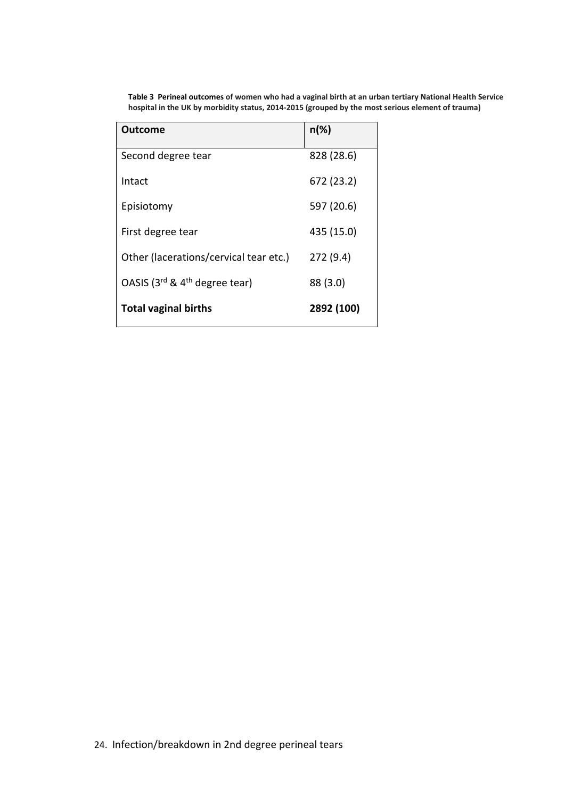| <b>Outcome</b>                           | $n(\%)$    |
|------------------------------------------|------------|
| Second degree tear                       | 828 (28.6) |
| Intact                                   | 672 (23.2) |
| Episiotomy                               | 597 (20.6) |
| First degree tear                        | 435 (15.0) |
| Other (lacerations/cervical tear etc.)   | 272 (9.4)  |
| OASIS ( $3^{rd}$ & $4^{th}$ degree tear) | 88 (3.0)   |
| <b>Total vaginal births</b>              | 2892 (100) |

**Table 3 Perineal outcomes of women who had a vaginal birth at an urban tertiary National Health Service hospital in the UK by morbidity status, 2014‐2015 (grouped by the most serious element of trauma)**